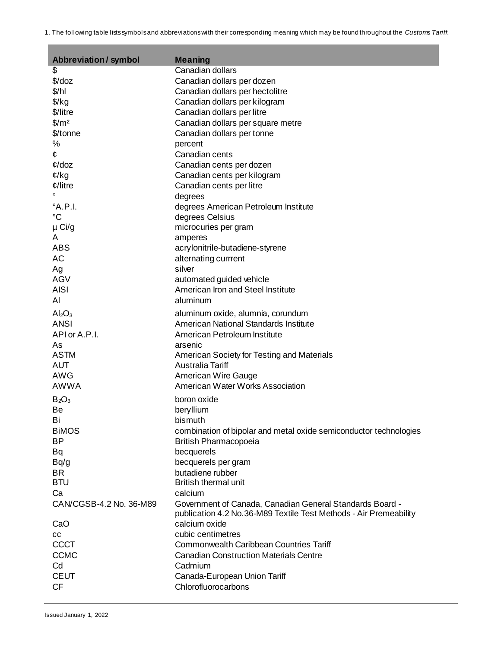1. The following table lists symbols and abbreviations with their corresponding meaning which may be found throughout the *Customs Tariff.*

| <b>Abbreviation/symbol</b>     | <b>Meaning</b>                                                                                                                |
|--------------------------------|-------------------------------------------------------------------------------------------------------------------------------|
| \$                             | Canadian dollars                                                                                                              |
| \$/doz                         | Canadian dollars per dozen                                                                                                    |
| \$/h                           | Canadian dollars per hectolitre                                                                                               |
| $\frac{f}{g}$                  | Canadian dollars per kilogram                                                                                                 |
| \$/litre                       | Canadian dollars per litre                                                                                                    |
| $\frac{m^2}{2}$                | Canadian dollars per square metre                                                                                             |
| \$/tonne                       | Canadian dollars per tonne                                                                                                    |
| ℅                              | percent                                                                                                                       |
| ¢                              | Canadian cents                                                                                                                |
| $\mathcal{L}/doz$              | Canadian cents per dozen                                                                                                      |
| $\phi$ /kg                     | Canadian cents per kilogram                                                                                                   |
| $\phi$ /litre                  | Canadian cents per litre                                                                                                      |
|                                | degrees                                                                                                                       |
| $^{\circ}$ A.P.I.              | degrees American Petroleum Institute                                                                                          |
| $^{\circ}C$                    | degrees Celsius                                                                                                               |
| $\mu$ Ci/g                     | microcuries per gram                                                                                                          |
| A                              | amperes                                                                                                                       |
| <b>ABS</b>                     | acrylonitrile-butadiene-styrene                                                                                               |
| AC                             | alternating currrent                                                                                                          |
| Ag                             | silver                                                                                                                        |
| <b>AGV</b>                     | automated guided vehicle                                                                                                      |
| <b>AISI</b>                    | American Iron and Steel Institute                                                                                             |
| AI                             | aluminum                                                                                                                      |
|                                |                                                                                                                               |
| Al <sub>2</sub> O <sub>3</sub> | aluminum oxide, alumnia, corundum                                                                                             |
| <b>ANSI</b>                    | American National Standards Institute                                                                                         |
| API or A.P.I.                  | American Petroleum Institute                                                                                                  |
| As                             | arsenic                                                                                                                       |
| <b>ASTM</b>                    | American Society for Testing and Materials                                                                                    |
| <b>AUT</b>                     | Australia Tariff                                                                                                              |
| <b>AWG</b>                     | American Wire Gauge                                                                                                           |
| <b>AWWA</b>                    | American Water Works Association                                                                                              |
| $B_2O_3$                       | boron oxide                                                                                                                   |
| Be                             | beryllium                                                                                                                     |
| Bi                             | bismuth                                                                                                                       |
| <b>BiMOS</b>                   | combination of bipolar and metal oxide semiconductor technologies                                                             |
| <b>BP</b>                      | British Pharmacopoeia                                                                                                         |
| Bq                             | becquerels                                                                                                                    |
| Bq/g                           | becquerels per gram                                                                                                           |
| <b>BR</b>                      | butadiene rubber                                                                                                              |
| <b>BTU</b>                     | <b>British thermal unit</b>                                                                                                   |
| Сa                             | calcium                                                                                                                       |
| CAN/CGSB-4.2 No. 36-M89        | Government of Canada, Canadian General Standards Board -<br>publication 4.2 No.36-M89 Textile Test Methods - Air Premeability |
| CaO                            | calcium oxide                                                                                                                 |
| cc                             | cubic centimetres                                                                                                             |
| <b>CCCT</b>                    | <b>Commonwealth Caribbean Countries Tariff</b>                                                                                |
| <b>CCMC</b>                    | <b>Canadian Construction Materials Centre</b>                                                                                 |
| Cd                             | Cadmium                                                                                                                       |
| <b>CEUT</b>                    | Canada-European Union Tariff                                                                                                  |
| <b>CF</b>                      | Chlorofluorocarbons                                                                                                           |

 $\blacksquare$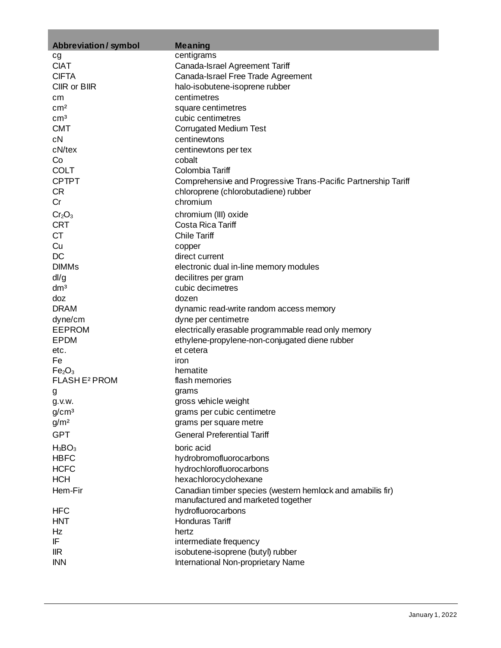| <b>Abbreviation/symbol</b>     | <b>Meaning</b>                                                 |
|--------------------------------|----------------------------------------------------------------|
| cg                             | centigrams                                                     |
| <b>CIAT</b>                    | Canada-Israel Agreement Tariff                                 |
| <b>CIFTA</b>                   | Canada-Israel Free Trade Agreement                             |
| CIIR or BIIR                   | halo-isobutene-isoprene rubber                                 |
| cm                             | centimetres                                                    |
| cm <sup>2</sup>                | square centimetres                                             |
| cm <sup>3</sup>                | cubic centimetres                                              |
| <b>CMT</b>                     | <b>Corrugated Medium Test</b>                                  |
| сN                             | centinewtons                                                   |
| cN/tex                         | centinewtons per tex                                           |
| Co                             | cobalt                                                         |
| <b>COLT</b>                    | Colombia Tariff                                                |
| <b>CPTPT</b>                   | Comprehensive and Progressive Trans-Pacific Partnership Tariff |
| CR                             | chloroprene (chlorobutadiene) rubber                           |
| Cr                             | chromium                                                       |
| Cr <sub>2</sub> O <sub>3</sub> | chromium (III) oxide                                           |
| <b>CRT</b>                     | Costa Rica Tariff                                              |
| <b>CT</b>                      | <b>Chile Tariff</b>                                            |
| Cu                             | copper                                                         |
| <b>DC</b>                      | direct current                                                 |
| <b>DIMMs</b>                   | electronic dual in-line memory modules                         |
| dl/g                           | decilitres per gram                                            |
| dm <sup>3</sup>                | cubic decimetres                                               |
| doz                            | dozen                                                          |
| <b>DRAM</b>                    | dynamic read-write random access memory                        |
| dyne/cm                        | dyne per centimetre                                            |
| <b>EEPROM</b>                  | electrically erasable programmable read only memory            |
| <b>EPDM</b>                    | ethylene-propylene-non-conjugated diene rubber                 |
| etc.                           | et cetera                                                      |
| Fe                             | iron                                                           |
| Fe <sub>2</sub> O <sub>3</sub> | hematite                                                       |
| FLASH E <sup>2</sup> PROM      | flash memories                                                 |
| g                              | grams                                                          |
| g.v.w.                         | gross vehicle weight                                           |
| g/cm <sup>3</sup>              | grams per cubic centimetre                                     |
| g/m <sup>2</sup>               | grams per square metre                                         |
| <b>GPT</b>                     | <b>General Preferential Tariff</b>                             |
| $H_3BO_3$                      | boric acid                                                     |
| <b>HBFC</b>                    | hydrobromofluorocarbons                                        |
| <b>HCFC</b>                    | hydrochlorofluorocarbons                                       |
| <b>HCH</b>                     | hexachlorocyclohexane                                          |
| Hem-Fir                        | Canadian timber species (western hemlock and amabilis fir)     |
|                                | manufactured and marketed together                             |
| <b>HFC</b>                     | hydrofluorocarbons                                             |
| <b>HNT</b>                     | <b>Honduras Tariff</b>                                         |
| Hz<br>IF                       | hertz                                                          |
| <b>IIR</b>                     | intermediate frequency<br>isobutene-isoprene (butyl) rubber    |
| <b>INN</b>                     | International Non-proprietary Name                             |
|                                |                                                                |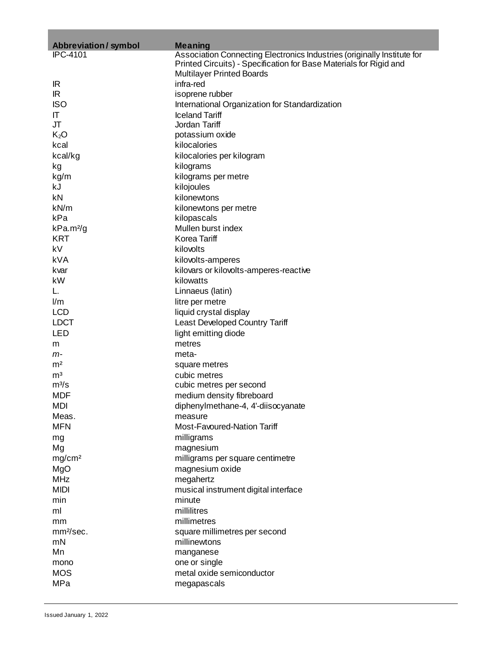| <b>Abbreviation/symbol</b> | <b>Meaning</b>                                                          |
|----------------------------|-------------------------------------------------------------------------|
| <b>IPC-4101</b>            | Association Connecting Electronics Industries (originally Institute for |
|                            | Printed Circuits) - Specification for Base Materials for Rigid and      |
|                            | <b>Multilayer Printed Boards</b>                                        |
| IR                         | infra-red                                                               |
| IR                         | isoprene rubber                                                         |
| <b>ISO</b>                 | International Organization for Standardization                          |
| IT<br>JT                   | <b>Iceland Tariff</b><br>Jordan Tariff                                  |
| $K_2O$                     | potassium oxide                                                         |
| kcal                       | kilocalories                                                            |
| kcal/kg                    | kilocalories per kilogram                                               |
| kg                         | kilograms                                                               |
| kg/m                       | kilograms per metre                                                     |
| kJ                         | kilojoules                                                              |
| kN                         | kilonewtons                                                             |
| kN/m                       | kilonewtons per metre                                                   |
| kPa                        | kilopascals                                                             |
| kPa.m <sup>2</sup> /g      | Mullen burst index                                                      |
| <b>KRT</b>                 | <b>Korea Tariff</b>                                                     |
| kV.                        | kilovolts                                                               |
| <b>kVA</b>                 | kilovolts-amperes                                                       |
| kvar                       | kilovars or kilovolts-amperes-reactive                                  |
| kW                         | kilowatts                                                               |
| L.                         | Linnaeus (latin)                                                        |
| 1/m                        | litre per metre                                                         |
| <b>LCD</b>                 | liquid crystal display                                                  |
| <b>LDCT</b>                | <b>Least Developed Country Tariff</b>                                   |
| <b>LED</b>                 | light emitting diode                                                    |
| m                          | metres                                                                  |
| $m-$                       | meta-                                                                   |
| m <sup>2</sup>             | square metres                                                           |
| m <sup>3</sup>             | cubic metres                                                            |
| $m^3/s$                    | cubic metres per second                                                 |
| <b>MDF</b>                 | medium density fibreboard                                               |
| MDI                        | diphenylmethane-4, 4'-diisocyanate                                      |
| Meas.                      | measure                                                                 |
| <b>MFN</b>                 | Most-Favoured-Nation Tariff                                             |
| mg                         | milligrams                                                              |
| Mg                         | magnesium                                                               |
| mg/cm <sup>2</sup>         | milligrams per square centimetre                                        |
| MgO                        | magnesium oxide                                                         |
| <b>MHz</b>                 | megahertz                                                               |
| <b>MIDI</b>                | musical instrument digital interface                                    |
| min                        | minute                                                                  |
| ml                         | millilitres                                                             |
| mm                         | millimetres                                                             |
| mm <sup>2</sup> /sec.      | square millimetres per second                                           |
| mN                         | millinewtons                                                            |
| Mn                         | manganese                                                               |
| mono                       | one or single                                                           |
| <b>MOS</b>                 | metal oxide semiconductor                                               |
| MPa                        | megapascals                                                             |

m.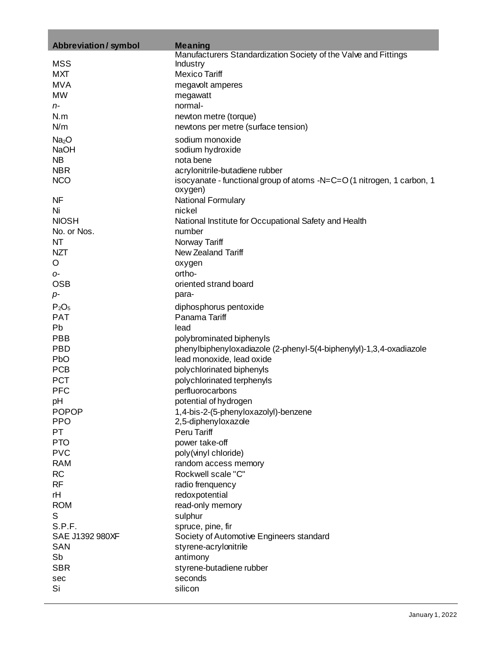| <b>Abbreviation/symbol</b> | <b>Meaning</b>                                                         |  |
|----------------------------|------------------------------------------------------------------------|--|
|                            | Manufacturers Standardization Society of the Valve and Fittings        |  |
| <b>MSS</b>                 | Industry                                                               |  |
| <b>MXT</b>                 | <b>Mexico Tariff</b>                                                   |  |
| <b>MVA</b>                 | megavolt amperes                                                       |  |
| MW                         | megawatt                                                               |  |
| $n-$                       | normal-                                                                |  |
| N.m                        | newton metre (torque)                                                  |  |
| N/m                        | newtons per metre (surface tension)                                    |  |
| Na <sub>2</sub> O          | sodium monoxide                                                        |  |
| <b>NaOH</b>                | sodium hydroxide                                                       |  |
| <b>NB</b>                  | nota bene                                                              |  |
| <b>NBR</b>                 | acrylonitrile-butadiene rubber                                         |  |
| <b>NCO</b>                 | isocyanate - functional group of atoms -N=C=O (1 nitrogen, 1 carbon, 1 |  |
|                            | oxygen)                                                                |  |
| <b>NF</b>                  | National Formulary                                                     |  |
| Ni                         | nickel                                                                 |  |
| <b>NIOSH</b>               | National Institute for Occupational Safety and Health                  |  |
| No. or Nos.                | number                                                                 |  |
| <b>NT</b>                  | Norway Tariff                                                          |  |
| <b>NZT</b>                 | New Zealand Tariff                                                     |  |
| O                          | oxygen                                                                 |  |
| 0-                         | ortho-                                                                 |  |
| <b>OSB</b>                 | oriented strand board                                                  |  |
| $p-$                       | para-                                                                  |  |
| $P_2O_5$                   | diphosphorus pentoxide                                                 |  |
| <b>PAT</b>                 | Panama Tariff                                                          |  |
| Pb                         | lead                                                                   |  |
| <b>PBB</b>                 | polybrominated biphenyls                                               |  |
| <b>PBD</b>                 | phenylbiphenyloxadiazole (2-phenyl-5(4-biphenylyl)-1,3,4-oxadiazole    |  |
| PbO                        | lead monoxide, lead oxide                                              |  |
| <b>PCB</b>                 | polychlorinated biphenyls                                              |  |
| <b>PCT</b>                 | polychlorinated terphenyls                                             |  |
| <b>PFC</b>                 | perfluorocarbons                                                       |  |
| pH                         | potential of hydrogen                                                  |  |
| <b>POPOP</b>               | 1,4-bis-2-(5-phenyloxazolyl)-benzene                                   |  |
| <b>PPO</b>                 | 2,5-diphenyloxazole                                                    |  |
| PT                         | Peru Tariff                                                            |  |
| <b>PTO</b>                 | power take-off                                                         |  |
| <b>PVC</b>                 | poly(vinyl chloride)                                                   |  |
| <b>RAM</b>                 | random access memory                                                   |  |
| <b>RC</b>                  | Rockwell scale "C"                                                     |  |
| <b>RF</b>                  | radio frenquency                                                       |  |
| rH                         | redoxpotential                                                         |  |
| <b>ROM</b>                 | read-only memory                                                       |  |
| S                          | sulphur                                                                |  |
| S.P.F.                     | spruce, pine, fir                                                      |  |
| SAE J1392 980XF            | Society of Automotive Engineers standard                               |  |
| SAN                        | styrene-acrylonitrile                                                  |  |
| Sb                         | antimony                                                               |  |
| <b>SBR</b>                 | styrene-butadiene rubber                                               |  |
| sec                        | seconds                                                                |  |
| Si                         | silicon                                                                |  |
|                            |                                                                        |  |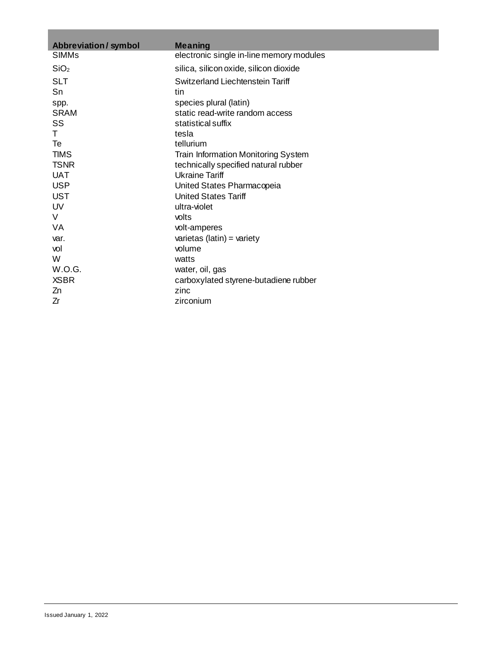| <b>Abbreviation/symbol</b> | <b>Meaning</b>                           |
|----------------------------|------------------------------------------|
| <b>SIMMs</b>               | electronic single in-line memory modules |
| SiO <sub>2</sub>           | silica, silicon oxide, silicon dioxide   |
| <b>SLT</b>                 | Switzerland Liechtenstein Tariff         |
| Sn                         | tin                                      |
| spp.                       | species plural (latin)                   |
| <b>SRAM</b>                | static read-write random access          |
| SS                         | statistical suffix                       |
| т                          | tesla                                    |
| Te                         | tellurium                                |
| TIMS                       | Train Information Monitoring System      |
| <b>TSNR</b>                | technically specified natural rubber     |
| <b>UAT</b>                 | <b>Ukraine Tariff</b>                    |
| <b>USP</b>                 | United States Pharmacopeia               |
| <b>UST</b>                 | <b>United States Tariff</b>              |
| UV                         | ultra-violet                             |
| V                          | volts                                    |
| VA                         | volt-amperes                             |
| var.                       | varietas (latin) = variety               |
| vol                        | volume                                   |
| W                          | watts                                    |
| W.O.G.                     | water, oil, gas                          |
| <b>XSBR</b>                | carboxylated styrene-butadiene rubber    |
| Zn                         | zinc                                     |
| Zr                         | zirconium                                |
|                            |                                          |